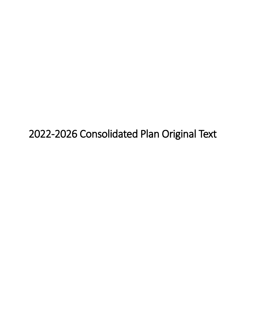2022-2026 Consolidated Plan Original Text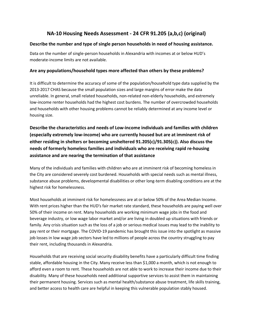# **NA-10 Housing Needs Assessment - 24 CFR 91.205 (a,b,c) (original)**

#### **Describe the number and type of single person households in need of housing assistance.**

Data on the number of single-person households in Alexandria with incomes at or below HUD's moderate-income limits are not available.

#### **Are any populations/household types more affected than others by these problems?**

It is difficult to determine the accuracy of some of the population/household type data supplied by the 2013-2017 CHAS because the small population sizes and large margins of error make the data unreliable. In general, small related households, non-related non-elderly households, and extremely low-income renter households had the highest cost burdens. The number of overcrowded households and households with other housing problems cannot be reliably determined at any income level or housing size.

**Describe the characteristics and needs of Low-income individuals and families with children (especially extremely low-income) who are currently housed but are at imminent risk of either residing in shelters or becoming unsheltered 91.205(c)/91.305(c)). Also discuss the needs of formerly homeless families and individuals who are receiving rapid re-housing assistance and are nearing the termination of that assistance**

Many of the individuals and families with children who are at imminent risk of becoming homeless in the City are considered severely cost burdened. Households with special needs such as mental illness, substance abuse problems, developmental disabilities or other long-term disabling conditions are at the highest risk for homelessness.

Most households at imminent risk for homelessness are at or below 50% of the Area Median Income. With rent prices higher than the HUD's fair market rate standard, these households are paying well over 50% of their income on rent. Many households are working minimum wage jobs in the food and beverage industry, or low wage labor market and/or are living in doubled up situations with friends or family. Any crisis situation such as the loss of a job or serious medical issues may lead to the inability to pay rent or their mortgage. The COVID-19 pandemic has brought this issue into the spotlight as massive job losses in low wage job sectors have led to millions of people across the country struggling to pay their rent, including thousands in Alexandria.

Households that are receiving social security disability benefits have a particularly difficult time finding stable, affordable housing in the City. Many receive less than \$1,000 a month, which is not enough to afford even a room to rent. These households are not able to work to increase their income due to their disability. Many of these households need additional supportive services to assist them in maintaining their permanent housing. Services such as mental health/substance abuse treatment, life skills training, and better access to health care are helpful in keeping this vulnerable population stably housed.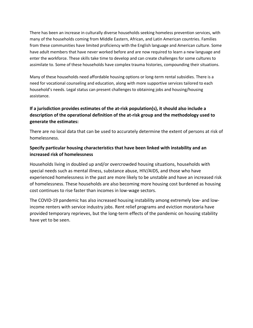There has been an increase in culturally diverse households seeking homeless prevention services, with many of the households coming from Middle Eastern, African, and Latin American countries. Families from these communities have limited proficiency with the English language and American culture. Some have adult members that have never worked before and are now required to learn a new language and enter the workforce. These skills take time to develop and can create challenges for some cultures to assimilate to. Some of these households have complex trauma histories, compounding their situations.

Many of these households need affordable housing options or long-term rental subsidies. There is a need for vocational counseling and education, along with more supportive services tailored to each household's needs. Legal status can present challenges to obtaining jobs and housing/housing assistance.

## **If a jurisdiction provides estimates of the at-risk population(s), it should also include a description of the operational definition of the at-risk group and the methodology used to generate the estimates:**

There are no local data that can be used to accurately determine the extent of persons at risk of homelessness.

#### **Specify particular housing characteristics that have been linked with instability and an increased risk of homelessness**

Households living in doubled up and/or overcrowded housing situations, households with special needs such as mental illness, substance abuse, HIV/AIDS, and those who have experienced homelessness in the past are more likely to be unstable and have an increased risk of homelessness. These households are also becoming more housing cost burdened as housing cost continues to rise faster than incomes in low-wage sectors.

The COVID-19 pandemic has also increased housing instability among extremely low- and lowincome renters with service industry jobs. Rent relief programs and eviction moratoria have provided temporary reprieves, but the long-term effects of the pandemic on housing stability have yet to be seen.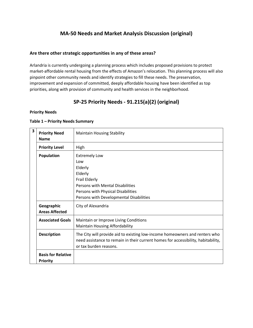# **MA-50 Needs and Market Analysis Discussion (original)**

#### **Are there other strategic opportunities in any of these areas?**

Arlandria is currently undergoing a planning process which includes proposed provisions to protect market-affordable rental housing from the effects of Amazon's relocation. This planning process will also pinpoint other community needs and identify strategies to fill these needs. The preservation, improvement and expansion of committed, deeply affordable housing have been identified as top priorities, along with provision of community and health services in the neighborhood.

# **SP-25 Priority Needs - 91.215(a)(2) (original)**

#### **Priority Needs**

| 3 | <b>Priority Need</b><br><b>Name</b>          | <b>Maintain Housing Stability</b>                                                 |  |  |  |  |  |  |
|---|----------------------------------------------|-----------------------------------------------------------------------------------|--|--|--|--|--|--|
|   | <b>Priority Level</b>                        | High                                                                              |  |  |  |  |  |  |
|   | <b>Population</b>                            | <b>Extremely Low</b>                                                              |  |  |  |  |  |  |
|   |                                              | Low                                                                               |  |  |  |  |  |  |
|   |                                              | Elderly                                                                           |  |  |  |  |  |  |
|   |                                              | Elderly                                                                           |  |  |  |  |  |  |
|   |                                              | Frail Elderly                                                                     |  |  |  |  |  |  |
|   |                                              | <b>Persons with Mental Disabilities</b>                                           |  |  |  |  |  |  |
|   |                                              | Persons with Physical Disabilities                                                |  |  |  |  |  |  |
|   |                                              | Persons with Developmental Disabilities                                           |  |  |  |  |  |  |
|   | Geographic                                   | City of Alexandria                                                                |  |  |  |  |  |  |
|   | <b>Areas Affected</b>                        |                                                                                   |  |  |  |  |  |  |
|   | <b>Associated Goals</b>                      | Maintain or Improve Living Conditions                                             |  |  |  |  |  |  |
|   |                                              | <b>Maintain Housing Affordability</b>                                             |  |  |  |  |  |  |
|   | <b>Description</b>                           | The City will provide aid to existing low-income homeowners and renters who       |  |  |  |  |  |  |
|   |                                              | need assistance to remain in their current homes for accessibility, habitability, |  |  |  |  |  |  |
|   |                                              | or tax burden reasons.                                                            |  |  |  |  |  |  |
|   | <b>Basis for Relative</b><br><b>Priority</b> |                                                                                   |  |  |  |  |  |  |

#### **Table 1 – Priority Needs Summary**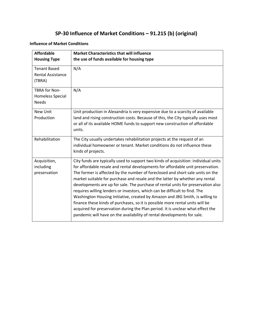# **SP-30 Influence of Market Conditions – 91.215 (b) (original)**

#### **Influence of Market Conditions**

| <b>Affordable</b><br><b>Housing Type</b>                  | <b>Market Characteristics that will influence</b><br>the use of funds available for housing type                                                                                                                                                                                                                                                                                                                                                                                                                                                                                                                                                                                                                                                                                                                                           |
|-----------------------------------------------------------|--------------------------------------------------------------------------------------------------------------------------------------------------------------------------------------------------------------------------------------------------------------------------------------------------------------------------------------------------------------------------------------------------------------------------------------------------------------------------------------------------------------------------------------------------------------------------------------------------------------------------------------------------------------------------------------------------------------------------------------------------------------------------------------------------------------------------------------------|
| <b>Tenant Based</b><br><b>Rental Assistance</b><br>(TBRA) | N/A                                                                                                                                                                                                                                                                                                                                                                                                                                                                                                                                                                                                                                                                                                                                                                                                                                        |
| <b>TBRA for Non-</b><br>Homeless Special<br><b>Needs</b>  | N/A                                                                                                                                                                                                                                                                                                                                                                                                                                                                                                                                                                                                                                                                                                                                                                                                                                        |
| <b>New Unit</b><br>Production                             | Unit production in Alexandria is very expensive due to a scarcity of available<br>land and rising construction costs. Because of this, the City typically uses most<br>or all of its available HOME funds to support new construction of affordable<br>units.                                                                                                                                                                                                                                                                                                                                                                                                                                                                                                                                                                              |
| Rehabilitation                                            | The City usually undertakes rehabilitation projects at the request of an<br>individual homeowner or tenant. Market conditions do not influence these<br>kinds of projects.                                                                                                                                                                                                                                                                                                                                                                                                                                                                                                                                                                                                                                                                 |
| Acquisition,<br>including<br>preservation                 | City funds are typically used to support two kinds of acquisition: individual units<br>for affordable resale and rental developments for affordable unit preservation.<br>The former is affected by the number of foreclosed and short sale units on the<br>market suitable for purchase and resale and the latter by whether any rental<br>developments are up for sale. The purchase of rental units for preservation also<br>requires willing lenders or investors, which can be difficult to find. The<br>Washington Housing Initiative, created by Amazon and JBG Smith, is willing to<br>finance these kinds of purchases, so it is possible more rental units will be<br>acquired for preservation during the Plan period. It is unclear what effect the<br>pandemic will have on the availability of rental developments for sale. |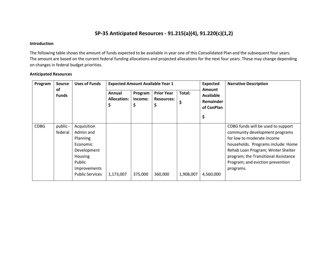## **SP-35 Anticipated Resources - 91.215(a)(4), 91.220(c)(1,2)**

#### **Introduction**

The following table shows the amount of funds expected to be available in year one of this Consolidated Plan and the subsequent four years. The amount are based on the current federal funding allocations and projected allocations for the next four years. These may change depending on changes in federal budget priorities.

#### **Anticipated Resources**

| Program     | <b>Source</b>       | <b>Uses of Funds</b>                                                                                                           |                                   |                         | <b>Expected Amount Available Year 1</b>      |             | <b>Expected</b><br><b>Amount</b><br><b>Available</b><br>Remainder<br>of ConPlan<br>\$ | <b>Narrative Description</b>                                                                                                                                                                                                                                            |
|-------------|---------------------|--------------------------------------------------------------------------------------------------------------------------------|-----------------------------------|-------------------------|----------------------------------------------|-------------|---------------------------------------------------------------------------------------|-------------------------------------------------------------------------------------------------------------------------------------------------------------------------------------------------------------------------------------------------------------------------|
|             | of<br><b>Funds</b>  |                                                                                                                                | Annual<br><b>Allocation:</b><br>Ş | Program<br>Income:<br>Ş | <b>Prior Year</b><br><b>Resources:</b><br>\$ | Total:<br>Ş |                                                                                       |                                                                                                                                                                                                                                                                         |
| <b>CDBG</b> | public -<br>federal | Acquisition<br>Admin and<br>Planning<br>Economic<br>Development<br>Housing<br>Public<br>Improvements<br><b>Public Services</b> | 1,173,007                         | 375,000                 | 360,000                                      | 1,908,007   | 4,560,000                                                                             | CDBG funds will be used to support<br>community development programs<br>for low to moderate income<br>households. Programs include: Home<br>Rehab Loan Program; Winter Shelter<br>program; the Transitional Assistance<br>Program; and eviction prevention<br>programs. |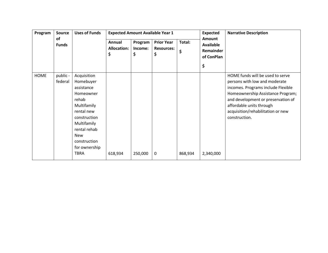| Program     | <b>Source</b>       | <b>Uses of Funds</b>                                                                                                                                                                            |                                    |                          | <b>Expected Amount Available Year 1</b>      |              | <b>Expected</b>                                                    | <b>Narrative Description</b>                                                                                                                                                                                                                                         |
|-------------|---------------------|-------------------------------------------------------------------------------------------------------------------------------------------------------------------------------------------------|------------------------------------|--------------------------|----------------------------------------------|--------------|--------------------------------------------------------------------|----------------------------------------------------------------------------------------------------------------------------------------------------------------------------------------------------------------------------------------------------------------------|
|             | of<br><b>Funds</b>  |                                                                                                                                                                                                 | Annual<br><b>Allocation:</b><br>\$ | Program<br>Income:<br>\$ | <b>Prior Year</b><br><b>Resources:</b><br>\$ | Total:<br>\$ | <b>Amount</b><br><b>Available</b><br>Remainder<br>of ConPlan<br>\$ |                                                                                                                                                                                                                                                                      |
| <b>HOME</b> | public -<br>federal | Acquisition<br>Homebuyer<br>assistance<br>Homeowner<br>rehab<br>Multifamily<br>rental new<br>construction<br>Multifamily<br>rental rehab<br>New<br>construction<br>for ownership<br><b>TBRA</b> | 618,934                            | 250,000                  | 0                                            | 868,934      | 2,340,000                                                          | HOME funds will be used to serve<br>persons with low and moderate<br>incomes. Programs include Flexible<br>Homeownership Assistance Program;<br>and development or preservation of<br>affordable units through<br>acquisition/rehabilitation or new<br>construction. |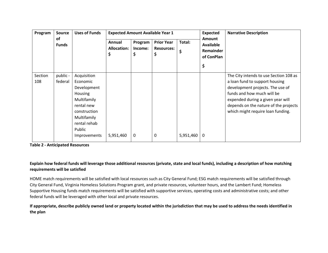| Program        | <b>Source</b>       | <b>Uses of Funds</b>                                                                                                                                           |                                    |                           | <b>Expected Amount Available Year 1</b>      |                                                                       | <b>Expected</b> | <b>Narrative Description</b>                                                                                                                                                                                                                                  |
|----------------|---------------------|----------------------------------------------------------------------------------------------------------------------------------------------------------------|------------------------------------|---------------------------|----------------------------------------------|-----------------------------------------------------------------------|-----------------|---------------------------------------------------------------------------------------------------------------------------------------------------------------------------------------------------------------------------------------------------------------|
|                | of<br><b>Funds</b>  |                                                                                                                                                                | Annual<br><b>Allocation:</b><br>\$ | Program<br>Income:<br>\$. | <b>Prior Year</b><br><b>Resources:</b><br>\$ | <b>Amount</b><br>Total:<br>Available<br>Remainder<br>\$<br>of ConPlan |                 |                                                                                                                                                                                                                                                               |
|                |                     |                                                                                                                                                                |                                    |                           |                                              |                                                                       | \$              |                                                                                                                                                                                                                                                               |
| Section<br>108 | public -<br>federal | Acquisition<br>Economic<br>Development<br><b>Housing</b><br>Multifamily<br>rental new<br>construction<br>Multifamily<br>rental rehab<br>Public<br>Improvements | 5,951,460                          | 0                         | 0                                            | 5,951,460                                                             | 0               | The City intends to use Section 108 as<br>a loan fund to support housing<br>development projects. The use of<br>funds and how much will be<br>expended during a given year will<br>depends on the nature of the projects<br>which might require loan funding. |

**Table 2 - Anticipated Resources**

**Explain how federal funds will leverage those additional resources (private, state and local funds), including a description of how matching requirements will be satisfied**

HOME match requirements will be satisfied with local resources such as City General Fund; ESG match requirements will be satisfied through City General Fund, Virginia Homeless Solutions Program grant, and private resources, volunteer hours, and the Lambert Fund; Homeless Supportive Housing funds match requirements will be satisfied with supportive services, operating costs and administrative costs; and other federal funds will be leveraged with other local and private resources.

**If appropriate, describe publicly owned land or property located within the jurisdiction that may be used to address the needs identified in the plan**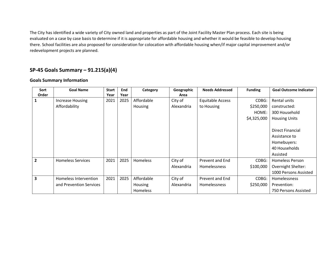The City has identified a wide variety of City owned land and properties as part of the Joint Facility Master Plan process. Each site is being evaluated on a case by case basis to determine if it is appropriate for affordable housing and whether it would be feasible to develop housing there. School facilities are also proposed for consideration for colocation with affordable housing when/if major capital improvement and/or redevelopment projects are planned.

# **SP-45 Goals Summary – 91.215(a)(4)**

#### **Goals Summary Information**

| Sort           | <b>Goal Name</b>         | <b>Start</b> | End  | Category        | Geographic | <b>Needs Addressed</b>  | <b>Funding</b> | <b>Goal Outcome Indicator</b> |
|----------------|--------------------------|--------------|------|-----------------|------------|-------------------------|----------------|-------------------------------|
| Order          |                          | Year         | Year |                 | Area       |                         |                |                               |
| 1              | <b>Increase Housing</b>  | 2021         | 2025 | Affordable      | City of    | <b>Equitable Access</b> | CDBG:          | Rental units                  |
|                | Affordability            |              |      | <b>Housing</b>  | Alexandria | to Housing              | \$250,000      | constructed:                  |
|                |                          |              |      |                 |            |                         | HOME:          | 300 Household                 |
|                |                          |              |      |                 |            |                         | \$4,325,000    | <b>Housing Units</b>          |
|                |                          |              |      |                 |            |                         |                |                               |
|                |                          |              |      |                 |            |                         |                | <b>Direct Financial</b>       |
|                |                          |              |      |                 |            |                         |                | Assistance to                 |
|                |                          |              |      |                 |            |                         |                | Homebuyers:                   |
|                |                          |              |      |                 |            |                         |                | 40 Households                 |
|                |                          |              |      |                 |            |                         |                | Assisted                      |
| $\overline{2}$ | <b>Homeless Services</b> | 2021         | 2025 | <b>Homeless</b> | City of    | Prevent and End         | CDBG:          | <b>Homeless Person</b>        |
|                |                          |              |      |                 | Alexandria | Homelessness            | \$100,000      | Overnight Shelter:            |
|                |                          |              |      |                 |            |                         |                | 1000 Persons Assisted         |
| 3              | Homeless Intervention    | 2021         | 2025 | Affordable      | City of    | Prevent and End         | CDBG:          | Homelessness                  |
|                | and Prevention Services  |              |      | <b>Housing</b>  | Alexandria | Homelessness            | \$250,000      | Prevention:                   |
|                |                          |              |      | Homeless        |            |                         |                | 750 Persons Assisted          |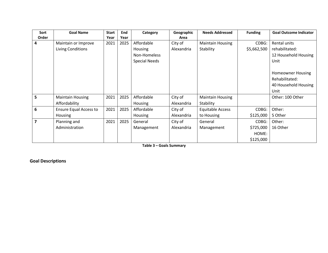| Sort                    | <b>Goal Name</b>              | <b>Start</b> | End  | Category             | Geographic | <b>Needs Addressed</b>  | <b>Funding</b> | <b>Goal Outcome Indicator</b> |
|-------------------------|-------------------------------|--------------|------|----------------------|------------|-------------------------|----------------|-------------------------------|
| Order                   |                               | Year         | Year |                      | Area       |                         |                |                               |
| 4                       | Maintain or Improve           | 2021         | 2025 | Affordable           | City of    | <b>Maintain Housing</b> | CDBG:          | Rental units                  |
|                         | Living Conditions             |              |      | <b>Housing</b>       | Alexandria | Stability               | \$5,662,500    | rehabilitated:                |
|                         |                               |              |      | Non-Homeless         |            |                         |                | 12 Household Housing          |
|                         |                               |              |      | <b>Special Needs</b> |            |                         |                | Unit                          |
|                         |                               |              |      |                      |            |                         |                | <b>Homeowner Housing</b>      |
|                         |                               |              |      |                      |            |                         |                | Rehabilitated:                |
|                         |                               |              |      |                      |            |                         |                | 40 Household Housing          |
|                         |                               |              |      |                      |            |                         |                | Unit                          |
| 5                       | <b>Maintain Housing</b>       | 2021         | 2025 | Affordable           | City of    | <b>Maintain Housing</b> |                | Other: 100 Other              |
|                         | Affordability                 |              |      | Housing              | Alexandria | Stability               |                |                               |
| 6                       | <b>Ensure Equal Access to</b> | 2021         | 2025 | Affordable           | City of    | <b>Equitable Access</b> | CDBG:          | Other:                        |
|                         | Housing                       |              |      | Housing              | Alexandria | to Housing              | \$125,000      | 5 Other                       |
| $\overline{\mathbf{z}}$ | Planning and                  | 2021         | 2025 | General              | City of    | General                 | CDBG:          | Other:                        |
|                         | Administration                |              |      | Management           | Alexandria | Management              | \$725,000      | 16 Other                      |
|                         |                               |              |      |                      |            |                         | HOME:          |                               |
|                         |                               |              |      |                      |            |                         | \$125,000      |                               |

**Table 3 – Goals Summary**

**Goal Descriptions**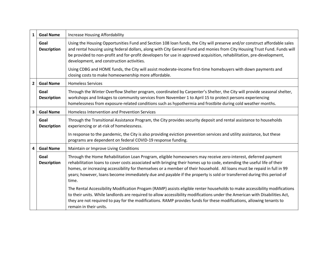| $\mathbf{1}$   | <b>Goal Name</b>           | Increase Housing Affordability                                                                                                                                                                                                                                                                                                                                                                                                                                                                         |
|----------------|----------------------------|--------------------------------------------------------------------------------------------------------------------------------------------------------------------------------------------------------------------------------------------------------------------------------------------------------------------------------------------------------------------------------------------------------------------------------------------------------------------------------------------------------|
|                | Goal<br><b>Description</b> | Using the Housing Opportunities Fund and Section 108 Ioan funds, the City will preserve and/or construct affordable sales<br>and rental housing using federal dollars, along with City General Fund and monies from City Housing Trust Fund. Funds will<br>be provided to non-profit and for-profit developers for use in approved acquisition, rehabilitation, pre-development,<br>development, and construction activities.                                                                          |
|                |                            | Using CDBG and HOME funds, the City will assist moderate-income first-time homebuyers with down payments and<br>closing costs to make homeownership more affordable.                                                                                                                                                                                                                                                                                                                                   |
| $\overline{2}$ | <b>Goal Name</b>           | <b>Homeless Services</b>                                                                                                                                                                                                                                                                                                                                                                                                                                                                               |
|                | Goal<br><b>Description</b> | Through the Winter Overflow Shelter program, coordinated by Carpenter's Shelter, the City will provide seasonal shelter,<br>workshops and linkages to community services from November 1 to April 15 to protect persons experiencing<br>homelessness from exposure-related conditions such as hypothermia and frostbite during cold weather months.                                                                                                                                                    |
| 3              | <b>Goal Name</b>           | <b>Homeless Intervention and Prevention Services</b>                                                                                                                                                                                                                                                                                                                                                                                                                                                   |
|                | Goal<br><b>Description</b> | Through the Transitional Assistance Program, the City provides security deposit and rental assistance to households<br>experiencing or at-risk of homelessness.                                                                                                                                                                                                                                                                                                                                        |
|                |                            | In response to the pandemic, the City is also providing eviction prevention services and utility assistance, but these<br>programs are dependent on federal COVID-19 response funding.                                                                                                                                                                                                                                                                                                                 |
| 4              | <b>Goal Name</b>           | Maintain or Improve Living Conditions                                                                                                                                                                                                                                                                                                                                                                                                                                                                  |
|                | Goal<br><b>Description</b> | Through the Home Rehabilitation Loan Program, eligible homeowners may receive zero-interest, deferred payment<br>rehabilitation loans to cover costs associated with bringing their homes up to code, extending the useful life of their<br>homes, or increasing accessibility for themselves or a member of their household. All loans must be repaid in full in 99<br>years; however, loans become immediately due and payable if the property is sold or transferred during this period of<br>time. |
|                |                            | The Rental Accessibility Modification Progam (RAMP) assists eligible renter households to make accessibility modifications<br>to their units. While landlords are required to allow accessibility modifications under the American with Disabilities Act,<br>they are not required to pay for the modifications. RAMP provides funds for these modifications, allowing tenants to<br>remain in their units.                                                                                            |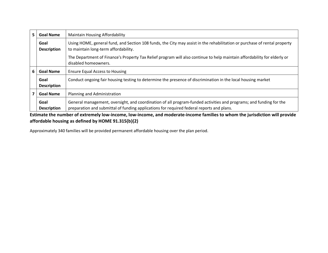| 5. | <b>Goal Name</b>           | <b>Maintain Housing Affordability</b>                                                                                                                                                                           |
|----|----------------------------|-----------------------------------------------------------------------------------------------------------------------------------------------------------------------------------------------------------------|
|    | Goal<br><b>Description</b> | Using HOME, general fund, and Section 108 funds, the City may assist in the rehabilitation or purchase of rental property<br>to maintain long-term affordability.                                               |
|    |                            | The Department of Finance's Property Tax Relief program will also continue to help maintain affordability for elderly or<br>disabled homeowners.                                                                |
| 6  | <b>Goal Name</b>           | <b>Ensure Equal Access to Housing</b>                                                                                                                                                                           |
|    | Goal<br><b>Description</b> | Conduct ongoing fair housing testing to determine the presence of discrimination in the local housing market                                                                                                    |
| 7  | <b>Goal Name</b>           | Planning and Administration                                                                                                                                                                                     |
|    | Goal<br><b>Description</b> | General management, oversight, and coordination of all program-funded activities and programs; and funding for the<br>preparation and submittal of funding applications for required federal reports and plans. |

**Estimate the number of extremely low-income, low-income, and moderate-income families to whom the jurisdiction will provide affordable housing as defined by HOME 91.315(b)(2)**

Approximately 340 families will be provided permanent affordable housing over the plan period.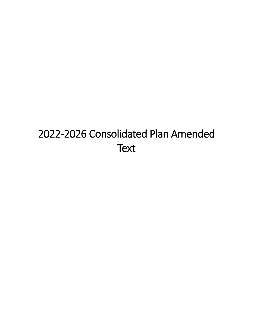# 2022-2026 Consolidated Plan Amended **Text**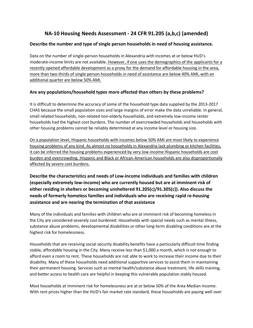# **NA-10 Housing Needs Assessment - 24 CFR 91.205 (a,b,c) (amended)**

#### **Describe the number and type of single person households in need of housing assistance.**

Data on the number of single-person households in Alexandria with incomes at or below HUD's moderate-income limits are not available. However, if one uses the demographics of the applicants for a recently opened affordable development as a proxy for the demand for affordable housing in the area, more than two-thirds of single person households in need of assistance are below 40% AMI, with an additional quarter are below 50% AMI.

#### **Are any populations/household types more affected than others by these problems?**

It is difficult to determine the accuracy of some of the household type data supplied by the 2013-2017 CHAS because the small population sizes and large margins of error make the data unreliable. In general, small related households, non-related non-elderly households, and extremely low-income renter households had the highest cost burdens. The number of overcrowded households and households with other housing problems cannot be reliably determined at any income level or housing size.

On a population level, Hispanic households with incomes below 50% AMI are most likely to experience housing problems of any kind. As almost no households in Alexandria lack plumbing or kitchen facilities, it can be inferred the housing problems experienced by very low-income Hispanic households are cost burden and overcrowding. Hispanic and Black or African-American households are also disproportionally affected by severe cost burdens.

**Describe the characteristics and needs of Low-income individuals and families with children (especially extremely low-income) who are currently housed but are at imminent risk of either residing in shelters or becoming unsheltered 91.205(c)/91.305(c)). Also discuss the needs of formerly homeless families and individuals who are receiving rapid re-housing assistance and are nearing the termination of that assistance**

Many of the individuals and families with children who are at imminent risk of becoming homeless in the City are considered severely cost burdened. Households with special needs such as mental illness, substance abuse problems, developmental disabilities or other long-term disabling conditions are at the highest risk for homelessness.

Households that are receiving social security disability benefits have a particularly difficult time finding stable, affordable housing in the City. Many receive less than \$1,000 a month, which is not enough to afford even a room to rent. These households are not able to work to increase their income due to their disability. Many of these households need additional supportive services to assist them in maintaining their permanent housing. Services such as mental health/substance abuse treatment, life skills training, and better access to health care are helpful in keeping this vulnerable population stably housed.

Most households at imminent risk for homelessness are at or below 50% of the Area Median Income. With rent prices higher than the HUD's fair market rate standard, these households are paying well over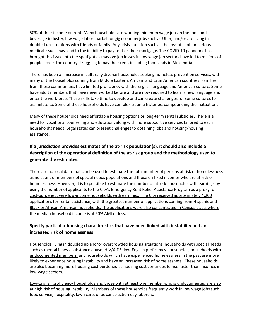50% of their income on rent. Many households are working minimum wage jobs in the food and beverage industry, low wage labor market, or gig economy jobs such as Uber, and/or are living in doubled up situations with friends or family. Any crisis situation such as the loss of a job or serious medical issues may lead to the inability to pay rent or their mortgage. The COVID-19 pandemic has brought this issue into the spotlight as massive job losses in low wage job sectors have led to millions of people across the country struggling to pay their rent, including thousands in Alexandria.

There has been an increase in culturally diverse households seeking homeless prevention services, with many of the households coming from Middle Eastern, African, and Latin American countries. Families from these communities have limited proficiency with the English language and American culture. Some have adult members that have never worked before and are now required to learn a new language and enter the workforce. These skills take time to develop and can create challenges for some cultures to assimilate to. Some of these households have complex trauma histories, compounding their situations.

Many of these households need affordable housing options or long-term rental subsidies. There is a need for vocational counseling and education, along with more supportive services tailored to each household's needs. Legal status can present challenges to obtaining jobs and housing/housing assistance.

## **If a jurisdiction provides estimates of the at-risk population(s), it should also include a description of the operational definition of the at-risk group and the methodology used to generate the estimates:**

There are no local data that can be used to estimate the total number of persons at risk of homelessness as no count of members of special needs populations and those on fixed incomes who are at-risk of homelessness. However, it is to possible to estimate the number of at-risk households with earnings by using the number of applicants to the City's Emergency Rent Relief Assistance Program as a proxy for cost-burdened, very low-income households with earnings. The City received approximately 4,200 applications for rental assistance, with the greatest number of applications coming from Hispanic and Black or African-American households. The applications were also concentrated in Census tracts where the median household income is at 50% AMI or less.

#### **Specify particular housing characteristics that have been linked with instability and an increased risk of homelessness**

Households living in doubled up and/or overcrowded housing situations, households with special needs such as mental illness, substance abuse, HIV/AIDS, low-English proficiency households, households with undocumented members, and households which have experienced homelessness in the past are more likely to experience housing instability and have an increased risk of homelessness. These households are also becoming more housing cost burdened as housing cost continues to rise faster than incomes in low-wage sectors.

Low-English proficiency households and those with at least one member who is undocumented are also at high risk of housing instability. Members of these households frequently work in low wage jobs such food service, hospitality, lawn care, or as construction day laborers.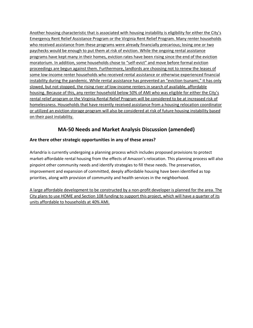Another housing characteristic that is associated with housing instability is eligibility for either the City's Emergency Rent Relief Assistance Program or the Virginia Rent Relief Program. Many renter households who received assistance from these programs were already financially precarious; losing one or two paychecks would be enough to put them at risk of eviction. While the ongoing rental assistance programs have kept many in their homes, eviction rates have been rising since the end of the eviction moratorium. In addition, some households chose to "self-evict" and move before formal eviction proceedings are begun against them. Furthermore, landlords are choosing not to renew the leases of some low-income renter households who received rental assistance or otherwise experienced financial instability during the pandemic. While rental assistance has prevented an "eviction tsunami," it has only slowed, but not stopped, the rising river of low-income renters in search of available, affordable housing. Because of this, any renter household below 50% of AMI who was eligible for either the City's rental relief program or the Virginia Rental Relief Program will be considered to be at increased risk of homelessness. Households that have recently received assistance from a housing relocation coordinator or utilized an eviction storage program will also be considered at risk of future housing instability based on their past instability.

# **MA-50 Needs and Market Analysis Discussion (amended)**

#### **Are there other strategic opportunities in any of these areas?**

Arlandria is currently undergoing a planning process which includes proposed provisions to protect market-affordable rental housing from the effects of Amazon's relocation. This planning process will also pinpoint other community needs and identify strategies to fill these needs. The preservation, improvement and expansion of committed, deeply affordable housing have been identified as top priorities, along with provision of community and health services in the neighborhood.

A large affordable development to be constructed by a non-profit developer is planned for the area. The City plans to use HOME and Section 108 funding to support this project, which will have a quarter of its units affordable to households at 40% AMI.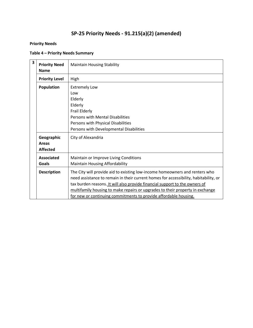# **SP-25 Priority Needs - 91.215(a)(2) (amended)**

#### **Priority Needs**

#### **Table 4 – Priority Needs Summary**

| 3 | <b>Priority Need</b><br><b>Name</b>           | <b>Maintain Housing Stability</b>                                                                                                                                                                                                                                                                                                                                                                       |
|---|-----------------------------------------------|---------------------------------------------------------------------------------------------------------------------------------------------------------------------------------------------------------------------------------------------------------------------------------------------------------------------------------------------------------------------------------------------------------|
|   | <b>Priority Level</b>                         | High                                                                                                                                                                                                                                                                                                                                                                                                    |
|   | Population                                    | <b>Extremely Low</b><br>Low<br>Elderly<br>Elderly<br>Frail Elderly<br>Persons with Mental Disabilities<br>Persons with Physical Disabilities<br>Persons with Developmental Disabilities                                                                                                                                                                                                                 |
|   | Geographic<br><b>Areas</b><br><b>Affected</b> | City of Alexandria                                                                                                                                                                                                                                                                                                                                                                                      |
|   | <b>Associated</b><br>Goals                    | Maintain or Improve Living Conditions<br><b>Maintain Housing Affordability</b>                                                                                                                                                                                                                                                                                                                          |
|   | <b>Description</b>                            | The City will provide aid to existing low-income homeowners and renters who<br>need assistance to remain in their current homes for accessibility, habitability, or<br>tax burden reasons. It will also provide financial support to the owners of<br>multifamily housing to make repairs or upgrades to their property in exchange<br>for new or continuing commitments to provide affordable housing. |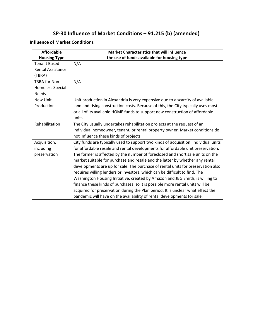# **SP-30 Influence of Market Conditions – 91.215 (b) (amended)**

#### **Influence of Market Conditions**

| <b>Affordable</b>        | <b>Market Characteristics that will influence</b>                                   |
|--------------------------|-------------------------------------------------------------------------------------|
| <b>Housing Type</b>      | the use of funds available for housing type                                         |
| <b>Tenant Based</b>      | N/A                                                                                 |
| <b>Rental Assistance</b> |                                                                                     |
| (TBRA)                   |                                                                                     |
| <b>TBRA for Non-</b>     | N/A                                                                                 |
| Homeless Special         |                                                                                     |
| <b>Needs</b>             |                                                                                     |
| New Unit                 | Unit production in Alexandria is very expensive due to a scarcity of available      |
| Production               | land and rising construction costs. Because of this, the City typically uses most   |
|                          | or all of its available HOME funds to support new construction of affordable        |
|                          | units.                                                                              |
| Rehabilitation           | The City usually undertakes rehabilitation projects at the request of an            |
|                          | individual homeowner, tenant, or rental property owner. Market conditions do        |
|                          | not influence these kinds of projects.                                              |
| Acquisition,             | City funds are typically used to support two kinds of acquisition: individual units |
| including                | for affordable resale and rental developments for affordable unit preservation.     |
| preservation             | The former is affected by the number of foreclosed and short sale units on the      |
|                          | market suitable for purchase and resale and the latter by whether any rental        |
|                          | developments are up for sale. The purchase of rental units for preservation also    |
|                          | requires willing lenders or investors, which can be difficult to find. The          |
|                          | Washington Housing Initiative, created by Amazon and JBG Smith, is willing to       |
|                          | finance these kinds of purchases, so it is possible more rental units will be       |
|                          | acquired for preservation during the Plan period. It is unclear what effect the     |
|                          | pandemic will have on the availability of rental developments for sale.             |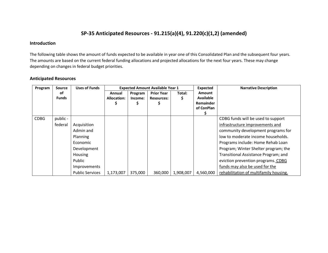# **SP-35 Anticipated Resources - 91.215(a)(4), 91.220(c)(1,2) (amended)**

#### **Introduction**

The following table shows the amount of funds expected to be available in year one of this Consolidated Plan and the subsequent four years. The amounts are based on the current federal funding allocations and projected allocations for the next four years. These may change depending on changes in federal budget priorities.

#### **Anticipated Resources**

| Program     | <b>Source</b> | <b>Uses of Funds</b>   |             | <b>Expected Amount Available Year 1</b> |                   | <b>Expected</b> | <b>Narrative Description</b> |                                        |
|-------------|---------------|------------------------|-------------|-----------------------------------------|-------------------|-----------------|------------------------------|----------------------------------------|
|             | οf            |                        | Annual      | Program                                 | <b>Prior Year</b> | Total:          | <b>Amount</b>                |                                        |
|             | <b>Funds</b>  |                        | Allocation: | Income:                                 | <b>Resources:</b> | S               | <b>Available</b>             |                                        |
|             |               |                        |             |                                         |                   |                 | Remainder                    |                                        |
|             |               |                        |             |                                         |                   |                 | of ConPlan                   |                                        |
|             |               |                        |             |                                         |                   |                 |                              |                                        |
| <b>CDBG</b> | public -      |                        |             |                                         |                   |                 |                              | CDBG funds will be used to support     |
|             | federal       | Acquisition            |             |                                         |                   |                 |                              | infrastructure improvements and        |
|             |               | Admin and              |             |                                         |                   |                 |                              | community development programs for     |
|             |               | Planning               |             |                                         |                   |                 |                              | low to moderate income households.     |
|             |               | Economic               |             |                                         |                   |                 |                              | Programs include: Home Rehab Loan      |
|             |               | Development            |             |                                         |                   |                 |                              | Program; Winter Shelter program; the   |
|             |               | <b>Housing</b>         |             |                                         |                   |                 |                              | Transitional Assistance Program; and   |
|             |               | Public                 |             |                                         |                   |                 |                              | eviction prevention programs. CDBG     |
|             |               | Improvements           |             |                                         |                   |                 |                              | funds may also be used for the         |
|             |               | <b>Public Services</b> | 1,173,007   | 375,000                                 | 360,000           | 1,908,007       | 4,560,000                    | rehabilitation of multifamily housing. |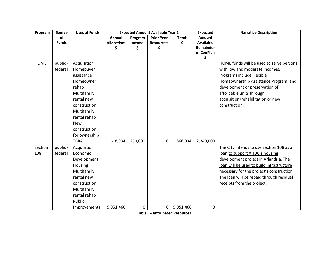| Program        | Source              | <b>Uses of Funds</b>                                                                                                                                                                                   | <b>Expected Amount Available Year 1</b> |         |                   |           | <b>Expected</b>  | <b>Narrative Description</b>                                                                                                                                                                                                                                                            |  |
|----------------|---------------------|--------------------------------------------------------------------------------------------------------------------------------------------------------------------------------------------------------|-----------------------------------------|---------|-------------------|-----------|------------------|-----------------------------------------------------------------------------------------------------------------------------------------------------------------------------------------------------------------------------------------------------------------------------------------|--|
|                | of                  |                                                                                                                                                                                                        | Annual                                  | Program | <b>Prior Year</b> | Total:    | Amount           |                                                                                                                                                                                                                                                                                         |  |
|                | <b>Funds</b>        |                                                                                                                                                                                                        | Allocation:                             | Income: | <b>Resources:</b> | \$        | <b>Available</b> |                                                                                                                                                                                                                                                                                         |  |
|                |                     |                                                                                                                                                                                                        | \$                                      | \$      | \$                |           | Remainder        |                                                                                                                                                                                                                                                                                         |  |
|                |                     |                                                                                                                                                                                                        |                                         |         |                   |           | of ConPlan       |                                                                                                                                                                                                                                                                                         |  |
| <b>HOME</b>    | public -<br>federal | Acquisition<br>Homebuyer<br>assistance<br>Homeowner<br>rehab<br>Multifamily<br>rental new<br>construction<br>Multifamily<br>rental rehab<br><b>New</b><br>construction<br>for ownership<br><b>TBRA</b> | 618,934                                 | 250,000 | 0                 | 868,934   | \$<br>2,340,000  | HOME funds will be used to serve persons<br>with low and moderate incomes.<br>Programs include Flexible<br>Homeownership Assistance Program; and<br>development or preservation of<br>affordable units through<br>acquisition/rehabilitation or new<br>construction.                    |  |
| Section<br>108 | public -<br>federal | Acquisition<br>Economic<br>Development<br>Housing<br>Multifamily<br>rental new<br>construction<br>Multifamily<br>rental rehab<br>Public<br>Improvements                                                | 5,951,460                               | 0       | 0                 | 5,951,460 | 0                | The City intends to use Section 108 as a<br>loan to support AHDC's housing<br>development project in Arlandria. The<br>loan will be used to build infrastructure<br>necessary for the project's construction.<br>The loan will be repaid through residual<br>receipts from the project. |  |

**Table 5 - Anticipated Resources**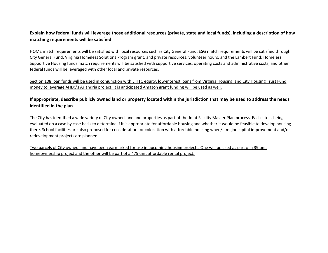#### **Explain how federal funds will leverage those additional resources (private, state and local funds), including a description of how matching requirements will be satisfied**

HOME match requirements will be satisfied with local resources such as City General Fund; ESG match requirements will be satisfied through City General Fund, Virginia Homeless Solutions Program grant, and private resources, volunteer hours, and the Lambert Fund; Homeless Supportive Housing funds match requirements will be satisfied with supportive services, operating costs and administrative costs; and other federal funds will be leveraged with other local and private resources.

Section 108 loan funds will be used in conjunction with LIHTC equity, low-interest loans from Virginia Housing, and City Housing Trust Fund money to leverage AHDC's Arlandria project. It is anticipated Amazon grant funding will be used as well.

#### **If appropriate, describe publicly owned land or property located within the jurisdiction that may be used to address the needs identified in the plan**

The City has identified a wide variety of City owned land and properties as part of the Joint Facility Master Plan process. Each site is being evaluated on a case by case basis to determine if it is appropriate for affordable housing and whether it would be feasible to develop housing there. School facilities are also proposed for consideration for colocation with affordable housing when/if major capital improvement and/or redevelopment projects are planned.

Two parcels of City owned land have been earmarked for use in upcoming housing projects. One will be used as part of a 39 unit homeownership project and the other will be part of a 475 unit affordable rental project.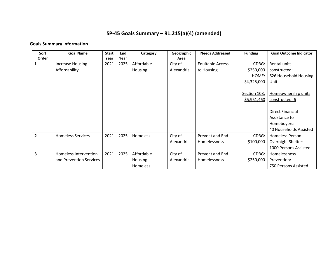# **SP-45 Goals Summary – 91.215(a)(4) (amended)**

# **Goals Summary Information**

| Sort           | <b>Goal Name</b>         | <b>Start</b> | End  | Category   | Geographic | <b>Needs Addressed</b>  | <b>Funding</b> | <b>Goal Outcome Indicator</b> |
|----------------|--------------------------|--------------|------|------------|------------|-------------------------|----------------|-------------------------------|
| Order          |                          | Year         | Year |            | Area       |                         |                |                               |
|                | <b>Increase Housing</b>  | 2021         | 2025 | Affordable | City of    | <b>Equitable Access</b> | CDBG:          | Rental units                  |
|                | Affordability            |              |      | Housing    | Alexandria | to Housing              | \$250,000      | constructed:                  |
|                |                          |              |      |            |            |                         | HOME:          | 626 Household Housing         |
|                |                          |              |      |            |            |                         | \$4,325,000    | Unit                          |
|                |                          |              |      |            |            |                         |                |                               |
|                |                          |              |      |            |            |                         | Section 108:   | Homeownership units           |
|                |                          |              |      |            |            |                         | \$5,951,460    | constructed: 6                |
|                |                          |              |      |            |            |                         |                |                               |
|                |                          |              |      |            |            |                         |                | <b>Direct Financial</b>       |
|                |                          |              |      |            |            |                         |                | Assistance to                 |
|                |                          |              |      |            |            |                         |                | Homebuyers:                   |
|                |                          |              |      |            |            |                         |                | 40 Households Assisted        |
| $\overline{2}$ | <b>Homeless Services</b> | 2021         | 2025 | Homeless   | City of    | Prevent and End         | CDBG:          | Homeless Person               |
|                |                          |              |      |            | Alexandria | Homelessness            | \$100,000      | Overnight Shelter:            |
|                |                          |              |      |            |            |                         |                | 1000 Persons Assisted         |
| 3              | Homeless Intervention    | 2021         | 2025 | Affordable | City of    | Prevent and End         | CDBG:          | Homelessness                  |
|                | and Prevention Services  |              |      | Housing    | Alexandria | Homelessness            | \$250,000      | Prevention:                   |
|                |                          |              |      | Homeless   |            |                         |                | 750 Persons Assisted          |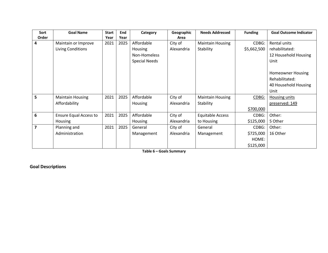| Sort  | <b>Goal Name</b>              | <b>Start</b> | End  | Category             | Geographic | <b>Needs Addressed</b>  | <b>Funding</b> | <b>Goal Outcome Indicator</b> |
|-------|-------------------------------|--------------|------|----------------------|------------|-------------------------|----------------|-------------------------------|
| Order |                               | Year         | Year |                      | Area       |                         |                |                               |
| 4     | Maintain or Improve           | 2021         | 2025 | Affordable           | City of    | <b>Maintain Housing</b> | CDBG:          | Rental units                  |
|       | Living Conditions             |              |      | <b>Housing</b>       | Alexandria | Stability               | \$5,662,500    | rehabilitated:                |
|       |                               |              |      | Non-Homeless         |            |                         |                | 12 Household Housing          |
|       |                               |              |      | <b>Special Needs</b> |            |                         |                | Unit                          |
|       |                               |              |      |                      |            |                         |                | <b>Homeowner Housing</b>      |
|       |                               |              |      |                      |            |                         |                | Rehabilitated:                |
|       |                               |              |      |                      |            |                         |                | 40 Household Housing          |
|       |                               |              |      |                      |            |                         |                | Unit                          |
| 5     | <b>Maintain Housing</b>       | 2021         | 2025 | Affordable           | City of    | <b>Maintain Housing</b> | CDBG:          | <b>Housing units</b>          |
|       | Affordability                 |              |      | Housing              | Alexandria | Stability               |                | preserved: 149                |
|       |                               |              |      |                      |            |                         | \$700,000      |                               |
| 6     | <b>Ensure Equal Access to</b> | 2021         | 2025 | Affordable           | City of    | <b>Equitable Access</b> | CDBG:          | Other:                        |
|       | Housing                       |              |      | Housing              | Alexandria | to Housing              | \$125,000      | 5 Other                       |
| 7     | Planning and                  | 2021         | 2025 | General              | City of    | General                 | CDBG:          | Other:                        |
|       | Administration                |              |      | Management           | Alexandria | Management              | \$725,000      | 16 Other                      |
|       |                               |              |      |                      |            |                         | HOME:          |                               |
|       |                               |              |      |                      |            |                         | \$125,000      |                               |

**Table 6 – Goals Summary**

**Goal Descriptions**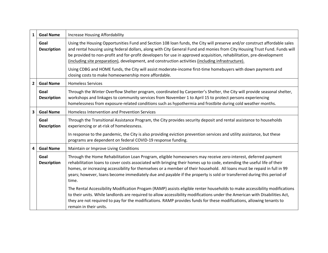| $\mathbf{1}$            | <b>Goal Name</b>           | Increase Housing Affordability                                                                                                                                                                                                                                                                                                                                                                                                                                                                         |  |  |  |  |  |
|-------------------------|----------------------------|--------------------------------------------------------------------------------------------------------------------------------------------------------------------------------------------------------------------------------------------------------------------------------------------------------------------------------------------------------------------------------------------------------------------------------------------------------------------------------------------------------|--|--|--|--|--|
|                         | Goal<br><b>Description</b> | Using the Housing Opportunities Fund and Section 108 loan funds, the City will preserve and/or construct affordable sales<br>and rental housing using federal dollars, along with City General Fund and monies from City Housing Trust Fund. Funds will<br>be provided to non-profit and for-profit developers for use in approved acquisition, rehabilitation, pre-development<br>(including site preparation), development, and construction activities (including infrastructure).                  |  |  |  |  |  |
|                         |                            | Using CDBG and HOME funds, the City will assist moderate-income first-time homebuyers with down payments and<br>closing costs to make homeownership more affordable.                                                                                                                                                                                                                                                                                                                                   |  |  |  |  |  |
| $\overline{2}$          | <b>Goal Name</b>           | <b>Homeless Services</b>                                                                                                                                                                                                                                                                                                                                                                                                                                                                               |  |  |  |  |  |
|                         | Goal<br><b>Description</b> | Through the Winter Overflow Shelter program, coordinated by Carpenter's Shelter, the City will provide seasonal shelter,<br>workshops and linkages to community services from November 1 to April 15 to protect persons experiencing<br>homelessness from exposure-related conditions such as hypothermia and frostbite during cold weather months.                                                                                                                                                    |  |  |  |  |  |
| $\overline{\mathbf{3}}$ | <b>Goal Name</b>           | <b>Homeless Intervention and Prevention Services</b>                                                                                                                                                                                                                                                                                                                                                                                                                                                   |  |  |  |  |  |
|                         | Goal<br><b>Description</b> | Through the Transitional Assistance Program, the City provides security deposit and rental assistance to households<br>experiencing or at-risk of homelessness.                                                                                                                                                                                                                                                                                                                                        |  |  |  |  |  |
|                         |                            | In response to the pandemic, the City is also providing eviction prevention services and utility assistance, but these<br>programs are dependent on federal COVID-19 response funding.                                                                                                                                                                                                                                                                                                                 |  |  |  |  |  |
| 4                       | <b>Goal Name</b>           | Maintain or Improve Living Conditions                                                                                                                                                                                                                                                                                                                                                                                                                                                                  |  |  |  |  |  |
|                         | Goal<br><b>Description</b> | Through the Home Rehabilitation Loan Program, eligible homeowners may receive zero-interest, deferred payment<br>rehabilitation loans to cover costs associated with bringing their homes up to code, extending the useful life of their<br>homes, or increasing accessibility for themselves or a member of their household. All loans must be repaid in full in 99<br>years; however, loans become immediately due and payable if the property is sold or transferred during this period of<br>time. |  |  |  |  |  |
|                         |                            | The Rental Accessibility Modification Progam (RAMP) assists eligible renter households to make accessibility modifications<br>to their units. While landlords are required to allow accessibility modifications under the American with Disabilities Act,<br>they are not required to pay for the modifications. RAMP provides funds for these modifications, allowing tenants to<br>remain in their units.                                                                                            |  |  |  |  |  |